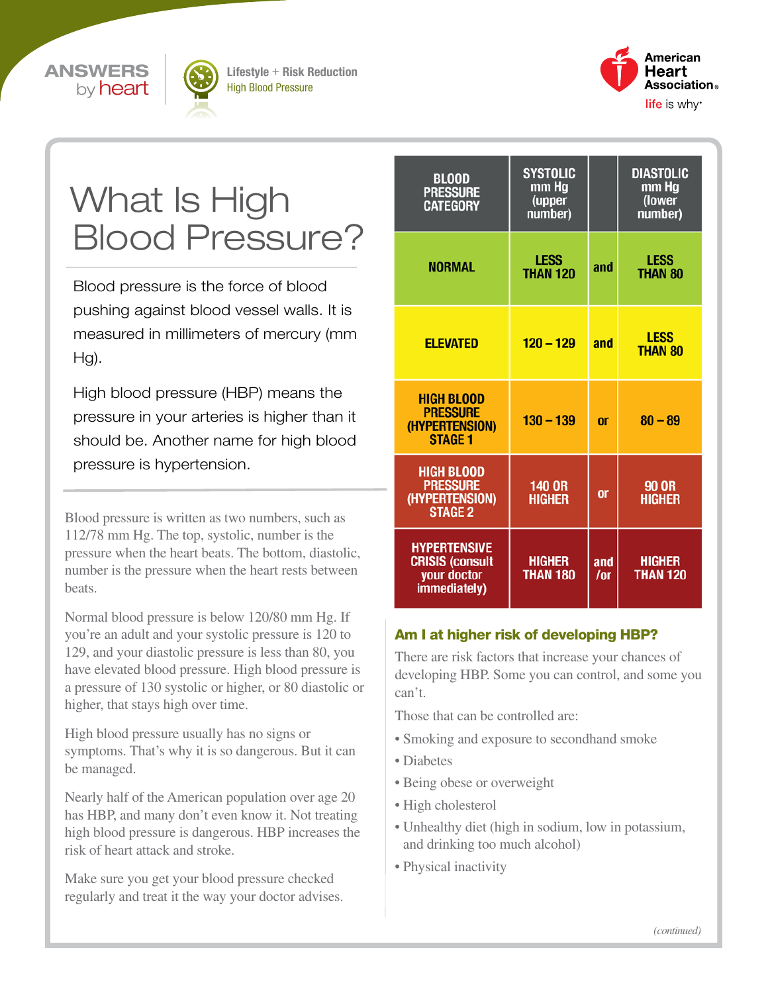



Lifestyle + Risk Reduction High Blood Pressure



# What Is High Blood Pressure?

Blood pressure is the force of blood pushing against blood vessel walls. It is measured in millimeters of mercury (mm Hg).

High blood pressure (HBP) means the pressure in your arteries is higher than it should be. Another name for high blood pressure is hypertension.

Blood pressure is written as two numbers, such as 112/78 mm Hg. The top, systolic, number is the pressure when the heart beats. The bottom, diastolic, number is the pressure when the heart rests between beats.

Normal blood pressure is below 120/80 mm Hg. If you're an adult and your systolic pressure is 120 to 129, and your diastolic pressure is less than 80, you have elevated blood pressure. High blood pressure is a pressure of 130 systolic or higher, or 80 diastolic or higher, that stays high over time.

High blood pressure usually has no signs or symptoms. That's why it is so dangerous. But it can be managed.

Nearly half of the American population over age 20 has HBP, and many don't even know it. Not treating high blood pressure is dangerous. HBP increases the risk of heart attack and stroke.

Make sure you get your blood pressure checked regularly and treat it the way your doctor advises.

| <b>BLOOD</b><br><b>PRESSURE</b><br><b>CATEGORY</b>                           | <b>SYSTOLIC</b><br>mm Hg<br>(upper<br>number) |               | <b>DIASTOLIC</b><br>mm Hg<br>(lower<br>number) |
|------------------------------------------------------------------------------|-----------------------------------------------|---------------|------------------------------------------------|
| <b>NORMAL</b>                                                                | <b>LESS</b><br><b>THAN 120</b>                | and           | LESS<br><b>THAN 80</b>                         |
| <b>ELEVATED</b>                                                              | $120 - 129$                                   | and           | <b>LESS</b><br><b>THAN 80</b>                  |
| <b>HIGH BLOOD</b><br><b>PRESSURE</b><br>(HYPERTENSION)<br><b>STAGE 1</b>     | $130 - 139$                                   | <sub>or</sub> | $80 - 89$                                      |
| <b>HIGH BLOOD</b><br><b>PRESSURE</b><br>(HYPERTENSION)<br><b>STAGE 2</b>     | 140 OR<br><b>HIGHER</b>                       | <b>or</b>     | <b>90 OR</b><br><b>HIGHER</b>                  |
| <b>HYPERTENSIVE</b><br><b>CRISIS (consult</b><br>your doctor<br>immediately) | <b>HIGHER</b><br><b>THAN 180</b>              | and<br>/or    | <b>HIGHER</b><br><b>THAN 120</b>               |

# Am I at higher risk of developing HBP?

There are risk factors that increase your chances of developing HBP. Some you can control, and some you can't.

Those that can be controlled are:

- Smoking and exposure to secondhand smoke
- Diabetes
- Being obese or overweight
- High cholesterol
- Unhealthy diet (high in sodium, low in potassium, and drinking too much alcohol)
- Physical inactivity